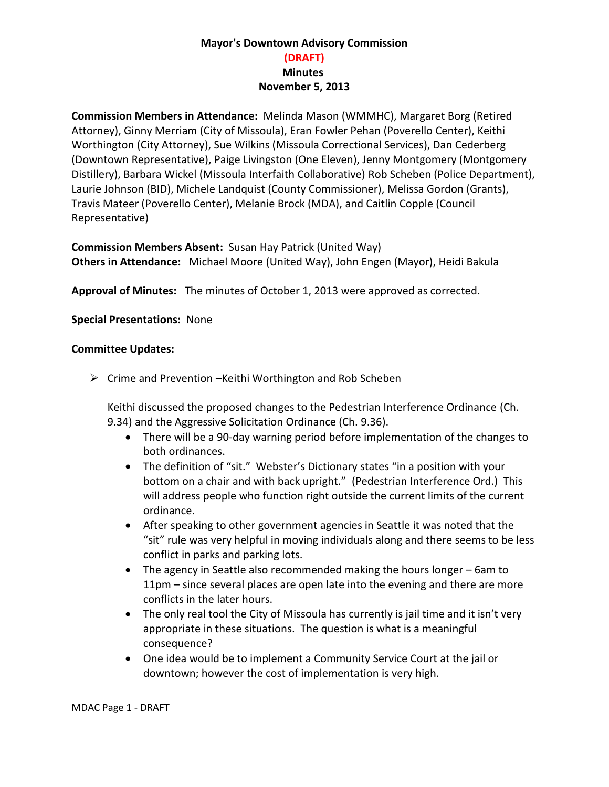## **Mayor's Downtown Advisory Commission (DRAFT) Minutes November 5, 2013**

**Commission Members in Attendance:** Melinda Mason (WMMHC), Margaret Borg (Retired Attorney), Ginny Merriam (City of Missoula), Eran Fowler Pehan (Poverello Center), Keithi Worthington (City Attorney), Sue Wilkins (Missoula Correctional Services), Dan Cederberg (Downtown Representative), Paige Livingston (One Eleven), Jenny Montgomery (Montgomery Distillery), Barbara Wickel (Missoula Interfaith Collaborative) Rob Scheben (Police Department), Laurie Johnson (BID), Michele Landquist (County Commissioner), Melissa Gordon (Grants), Travis Mateer (Poverello Center), Melanie Brock (MDA), and Caitlin Copple (Council Representative)

**Commission Members Absent:** Susan Hay Patrick (United Way) **Others in Attendance:** Michael Moore (United Way), John Engen (Mayor), Heidi Bakula

**Approval of Minutes:** The minutes of October 1, 2013 were approved as corrected.

**Special Presentations:** None

## **Committee Updates:**

 $\triangleright$  Crime and Prevention – Keithi Worthington and Rob Scheben

Keithi discussed the proposed changes to the Pedestrian Interference Ordinance (Ch. 9.34) and the Aggressive Solicitation Ordinance (Ch. 9.36).

- There will be a 90-day warning period before implementation of the changes to both ordinances.
- The definition of "sit." Webster's Dictionary states "in a position with your bottom on a chair and with back upright." (Pedestrian Interference Ord.) This will address people who function right outside the current limits of the current ordinance.
- After speaking to other government agencies in Seattle it was noted that the "sit" rule was very helpful in moving individuals along and there seems to be less conflict in parks and parking lots.
- The agency in Seattle also recommended making the hours longer 6am to 11pm – since several places are open late into the evening and there are more conflicts in the later hours.
- The only real tool the City of Missoula has currently is jail time and it isn't very appropriate in these situations. The question is what is a meaningful consequence?
- One idea would be to implement a Community Service Court at the jail or downtown; however the cost of implementation is very high.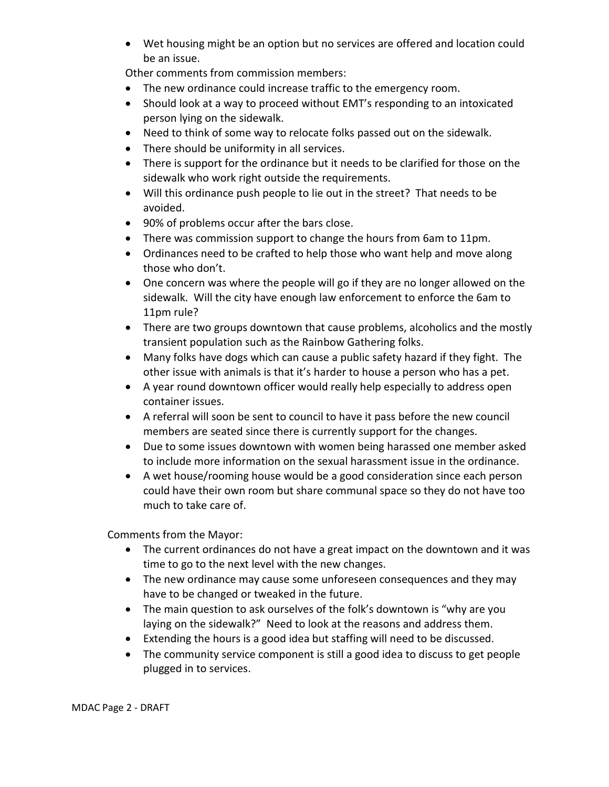Wet housing might be an option but no services are offered and location could be an issue.

Other comments from commission members:

- The new ordinance could increase traffic to the emergency room.
- Should look at a way to proceed without EMT's responding to an intoxicated person lying on the sidewalk.
- Need to think of some way to relocate folks passed out on the sidewalk.
- There should be uniformity in all services.
- There is support for the ordinance but it needs to be clarified for those on the sidewalk who work right outside the requirements.
- Will this ordinance push people to lie out in the street? That needs to be avoided.
- 90% of problems occur after the bars close.
- There was commission support to change the hours from 6am to 11pm.
- Ordinances need to be crafted to help those who want help and move along those who don't.
- One concern was where the people will go if they are no longer allowed on the sidewalk. Will the city have enough law enforcement to enforce the 6am to 11pm rule?
- There are two groups downtown that cause problems, alcoholics and the mostly transient population such as the Rainbow Gathering folks.
- Many folks have dogs which can cause a public safety hazard if they fight. The other issue with animals is that it's harder to house a person who has a pet.
- A year round downtown officer would really help especially to address open container issues.
- A referral will soon be sent to council to have it pass before the new council members are seated since there is currently support for the changes.
- Due to some issues downtown with women being harassed one member asked to include more information on the sexual harassment issue in the ordinance.
- A wet house/rooming house would be a good consideration since each person could have their own room but share communal space so they do not have too much to take care of.

Comments from the Mayor:

- The current ordinances do not have a great impact on the downtown and it was time to go to the next level with the new changes.
- The new ordinance may cause some unforeseen consequences and they may have to be changed or tweaked in the future.
- The main question to ask ourselves of the folk's downtown is "why are you laying on the sidewalk?" Need to look at the reasons and address them.
- Extending the hours is a good idea but staffing will need to be discussed.
- The community service component is still a good idea to discuss to get people plugged in to services.